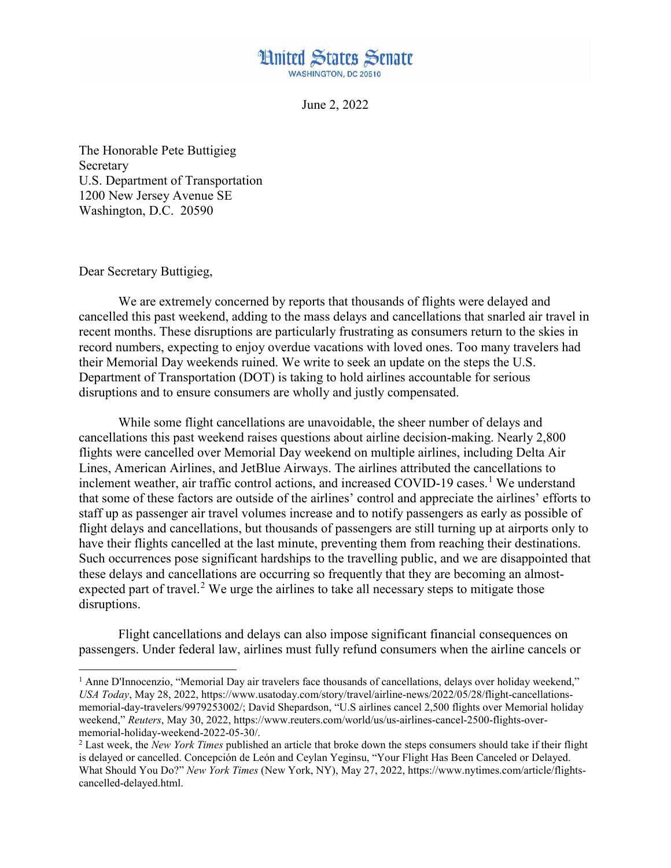## **Hnited States Senate WASHINGTON, DC 20510**

June 2, 2022

The Honorable Pete Buttigieg Secretary U.S. Department of Transportation 1200 New Jersey Avenue SE Washington, D.C. 20590

Dear Secretary Buttigieg,

l

We are extremely concerned by reports that thousands of flights were delayed and cancelled this past weekend, adding to the mass delays and cancellations that snarled air travel in recent months. These disruptions are particularly frustrating as consumers return to the skies in record numbers, expecting to enjoy overdue vacations with loved ones. Too many travelers had their Memorial Day weekends ruined. We write to seek an update on the steps the U.S. Department of Transportation (DOT) is taking to hold airlines accountable for serious disruptions and to ensure consumers are wholly and justly compensated.

While some flight cancellations are unavoidable, the sheer number of delays and cancellations this past weekend raises questions about airline decision-making. Nearly 2,800 flights were cancelled over Memorial Day weekend on multiple airlines, including Delta Air Lines, American Airlines, and JetBlue Airways. The airlines attributed the cancellations to inclement weather, air traffic control actions, and increased COVID-[1](#page-0-0)9 cases.<sup>1</sup> We understand that some of these factors are outside of the airlines' control and appreciate the airlines' efforts to staff up as passenger air travel volumes increase and to notify passengers as early as possible of flight delays and cancellations, but thousands of passengers are still turning up at airports only to have their flights cancelled at the last minute, preventing them from reaching their destinations. Such occurrences pose significant hardships to the travelling public, and we are disappointed that these delays and cancellations are occurring so frequently that they are becoming an almost-expected part of travel.<sup>[2](#page-0-1)</sup> We urge the airlines to take all necessary steps to mitigate those disruptions.

Flight cancellations and delays can also impose significant financial consequences on passengers. Under federal law, airlines must fully refund consumers when the airline cancels or

<span id="page-0-0"></span><sup>&</sup>lt;sup>1</sup> Anne D'Innocenzio, "Memorial Day air travelers face thousands of cancellations, delays over holiday weekend," *USA Today*, May 28, 2022, https://www.usatoday.com/story/travel/airline-news/2022/05/28/flight-cancellationsmemorial-day-travelers/9979253002/; David Shepardson, "U.S airlines cancel 2,500 flights over Memorial holiday weekend," *Reuters*, May 30, 2022, https://www.reuters.com/world/us/us-airlines-cancel-2500-flights-overmemorial-holiday-weekend-2022-05-30/.

<span id="page-0-1"></span><sup>2</sup> Last week, the *New York Times* published an article that broke down the steps consumers should take if their flight is delayed or cancelled. Concepción de León and Ceylan Yeginsu, "Your Flight Has Been Canceled or Delayed. What Should You Do?" *New York Times* (New York, NY), May 27, 2022, https://www.nytimes.com/article/flightscancelled-delayed.html.